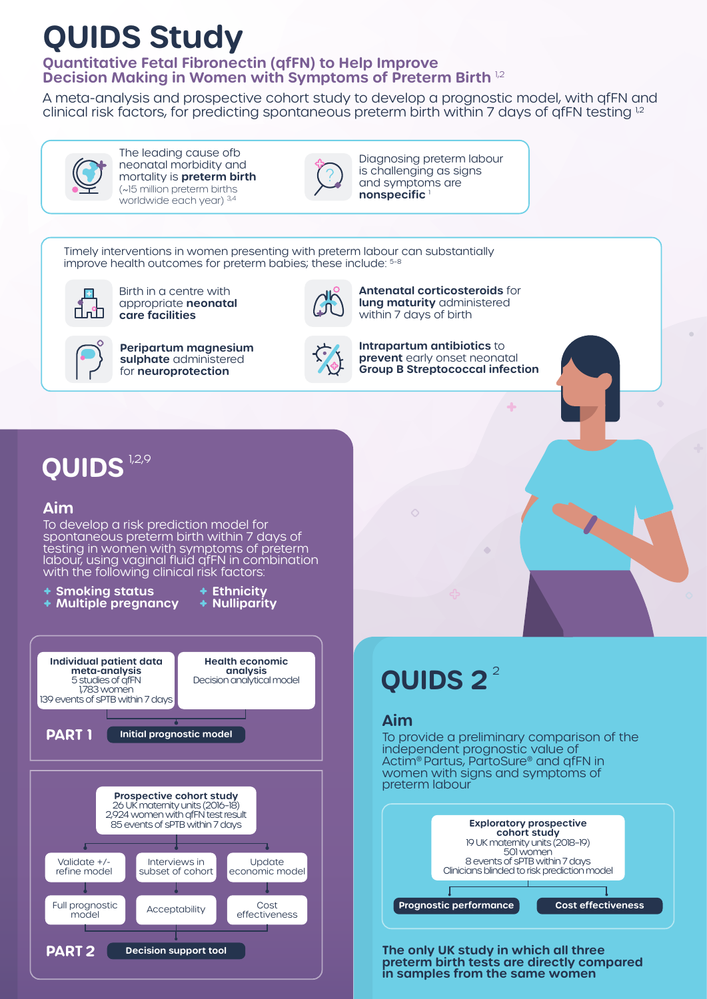# **QUIDS Study**

### **Quantitative Fetal Fibronectin (qfFN) to Help Improve Decision Making in Women with Symptoms of Preterm Birth** 1,2

A meta-analysis and prospective cohort study to develop a prognostic model, with qfFN and clinical risk factors, for predicting spontaneous preterm birth within 7 days of qfFN testing <sup>1,2</sup>



The leading cause ofb neonatal morbidity and mortality is **preterm birth** (~15 million preterm births worldwide each year) 3,4



Diagnosing preterm labour is challenging as signs and symptoms are **nonspecific** <sup>1</sup>

Timely interventions in women presenting with preterm labour can substantially improve health outcomes for preterm babies; these include:  $5-8$ 



Birth in a centre with appropriate **neonatal care facilities**



**Peripartum magnesium sulphate** administered for **neuroprotection** 



**Intrapartum antibiotics** to **prevent** early onset neonatal **Group B Streptococcal infection**

**Antenatal corticosteroids** for **lung maturity** administered within 7 days of birth

## **QUIDS**<sup>1,2,9</sup>

### **Aim**

To develop a risk prediction model for spontaneous preterm birth within 7 days of testing in women with symptoms of preterm labour, using vaginal fluid qfFN in combination with the following clinical risk factors:



# 2 **QUIDS 2**

### **Aim**

To provide a preliminary comparison of the independent prognostic value of Actim® Partus, PartoSure® and qfFN in women with signs and symptoms of preterm labour



**The only UK study in which all three preterm birth tests are directly compared in samples from the same women**